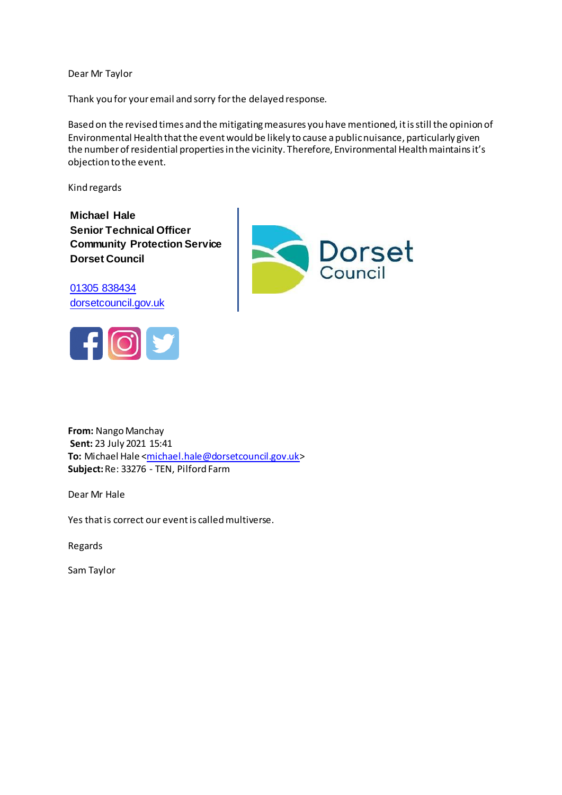Dear Mr Taylor

Thank you for your email and sorry for the delayed response.

Based on the revised times and the mitigating measures you have mentioned, it is still the opinion of Environmental Health that the event would be likely to cause a public nuisance, particularly given the number of residential properties in the vicinity. Therefore, Environmental Health maintains it's objection to the event.

Kind regards

**Michael Hale Senior Technical Officer Community Protection Service Dorset Council**

[01305 838434](tel:01305%20838434%20%20%20%20%20%20%20%20%20%20%20%20%20%20%20%20)  [dorsetcouncil.gov.uk](https://www.dorsetcouncil.gov.uk/)





**From:** Nango Manchay **Sent:** 23 July 2021 15:41 To: Michael Hale [<michael.hale@dorsetcouncil.gov.uk](mailto:michael.hale@dorsetcouncil.gov.uk)> **Subject:**Re: 33276 - TEN, Pilford Farm

Dear Mr Hale

Yes that is correct our event is called multiverse.

Regards

Sam Taylor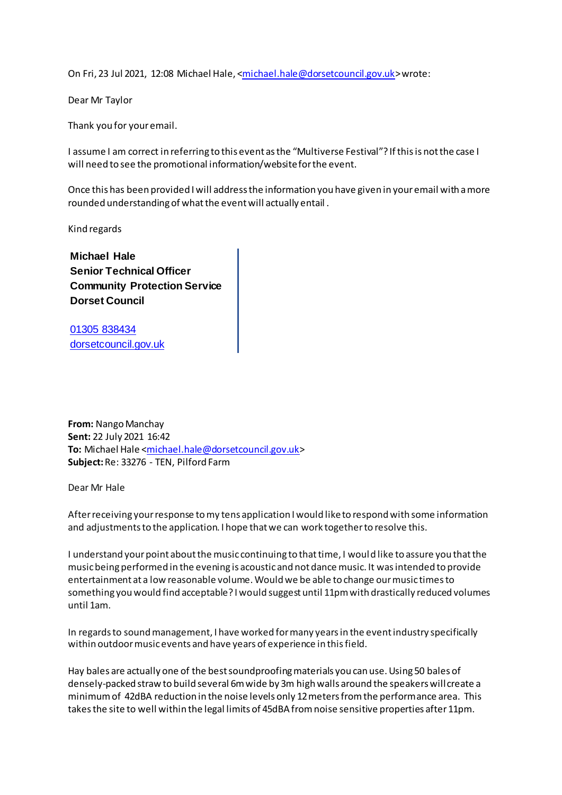On Fri, 23 Jul 2021, 12:08 Michael Hale, [<michael.hale@dorsetcouncil.gov.uk](mailto:michael.hale@dorsetcouncil.gov.uk)> wrote:

Dear Mr Taylor

Thank you for your email.

I assume I am correct in referring to this event as the "Multiverse Festival"? If this is not the case I will need to see the promotional information/website for the event.

Once this has been provided I will address the information you have given in your email with a more rounded understanding of what the event will actually entail .

Kind regards

**Michael Hale Senior Technical Officer Community Protection Service Dorset Council**

[01305 838434](tel:01305%20838434%20%20%20%20%20%20%20%20%20%20%20%20%20%20%20%20)  [dorsetcouncil.gov.uk](https://www.dorsetcouncil.gov.uk/)

**From:** Nango Manchay **Sent:** 22 July 2021 16:42 **To:** Michael Hale [<michael.hale@dorsetcouncil.gov.uk](mailto:michael.hale@dorsetcouncil.gov.uk)> **Subject:**Re: 33276 - TEN, Pilford Farm

Dear Mr Hale

After receiving your response to my tens application I would like to respond with some information and adjustments to the application. I hope that we can work together to resolve this.

I understand your point about the music continuing to that time, I would like to assure you that the music being performed in the evening is acoustic and not dance music. It was intended to provide entertainment at a low reasonable volume. Would we be able to change our music times to something you would find acceptable? I would suggest until 11pm with drastically reduced volumes until 1am.

In regards to sound management, I have worked for many years in the event industry specifically within outdoor music events and have years of experience in this field.

Hay bales are actually one of the best soundproofing materials you can use. Using 50 bales of densely-packed straw to build several 6m wide by 3m high walls around the speakers will create a minimum of 42dBA reduction in the noise levels only 12 meters from the performance area. This takes the site to well within the legal limits of 45dBA from noise sensitive properties after 11pm.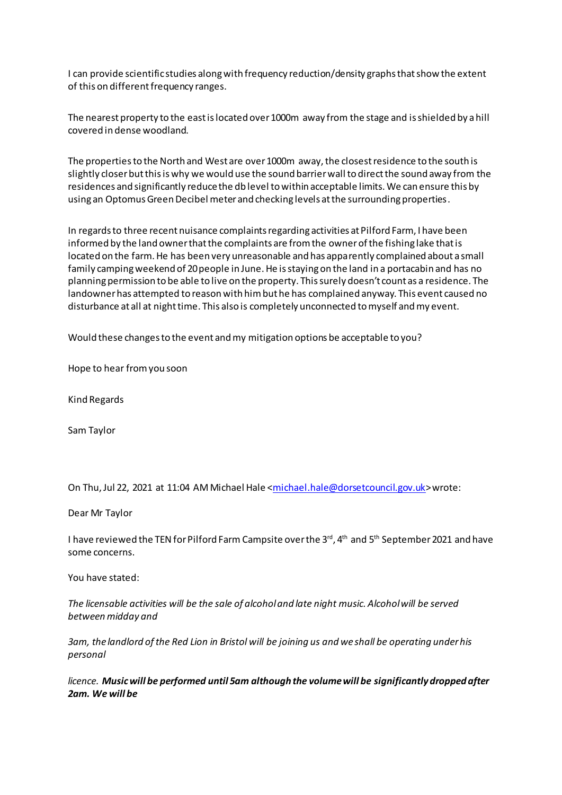I can provide scientific studies along with frequency reduction/density graphs that show the extent of this on different frequency ranges.

The nearest property to the east is located over 1000m away from the stage and is shielded by a hill covered in dense woodland.

The properties to the North and West are over 1000m away, the closest residence to the south is slightly closer but this is why we would use the sound barrier wall to direct the sound away from the residences and significantly reduce the db level to within acceptable limits. We can ensure this by using an Optomus Green Decibel meter and checking levels at the surrounding properties.

In regards to three recent nuisance complaints regarding activities at Pilford Farm, I have been informed by the land owner that the complaints are from the owner of the fishing lake that is located on the farm. He has been very unreasonable and has apparently complained about a small family camping weekend of 20 people in June. He is staying on the land in a portacabin and has no planning permission to be able to live on the property. This surely doesn't count as a residence. The landowner has attempted to reason with him but he has complained anyway. This event caused no disturbance at all at night time. This also is completely unconnected to myself and my event.

Would these changes to the event and my mitigation options be acceptable to you?

Hope to hear from you soon

Kind Regards

Sam Taylor

On Thu, Jul 22, 2021 at 11:04 AM Michael Hale [<michael.hale@dorsetcouncil.gov.uk](mailto:michael.hale@dorsetcouncil.gov.uk)> wrote:

Dear Mr Taylor

I have reviewed the TEN for Pilford Farm Campsite over the 3<sup>rd</sup>, 4<sup>th</sup> and 5<sup>th</sup> September 2021 and have some concerns.

You have stated:

*The licensable activities will be the sale of alcohol and late night music. Alcohol will be served between midday and*

*3am, the landlord of the Red Lion in Bristol will be joining us and we shall be operating under his personal*

*licence. Music will be performed until 5am although the volume will be significantly dropped after 2am. We will be*